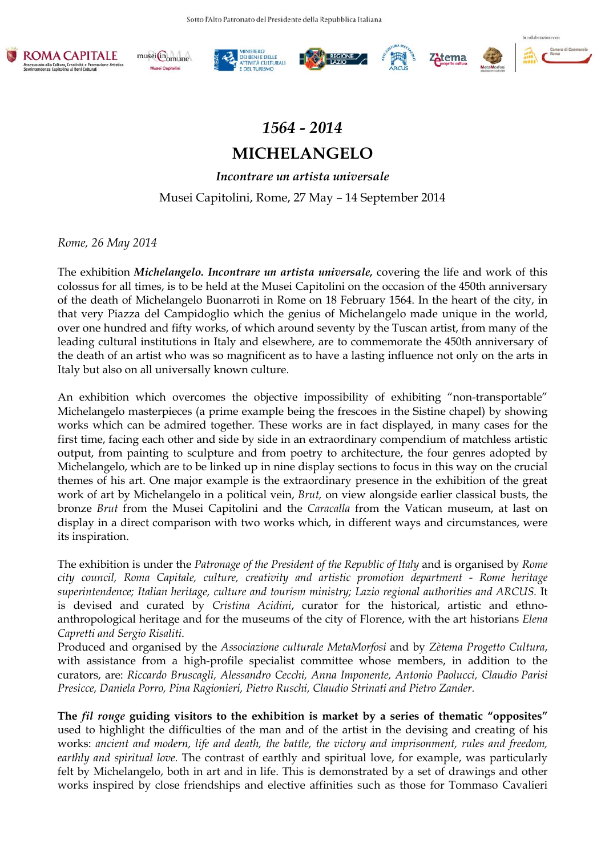











## *1564 - 2014*

## **MICHELANGELO**

*Incontrare un artista universale* Musei Capitolini, Rome, 27 May – 14 September 2014

*Rome, 26 May 2014* 

The exhibition *Michelangelo. Incontrare un artista universale,* covering the life and work of this colossus for all times, is to be held at the Musei Capitolini on the occasion of the 450th anniversary of the death of Michelangelo Buonarroti in Rome on 18 February 1564. In the heart of the city, in that very Piazza del Campidoglio which the genius of Michelangelo made unique in the world, over one hundred and fifty works, of which around seventy by the Tuscan artist, from many of the leading cultural institutions in Italy and elsewhere, are to commemorate the 450th anniversary of the death of an artist who was so magnificent as to have a lasting influence not only on the arts in Italy but also on all universally known culture.

An exhibition which overcomes the objective impossibility of exhibiting "non-transportable" Michelangelo masterpieces (a prime example being the frescoes in the Sistine chapel) by showing works which can be admired together. These works are in fact displayed, in many cases for the first time, facing each other and side by side in an extraordinary compendium of matchless artistic output, from painting to sculpture and from poetry to architecture, the four genres adopted by Michelangelo, which are to be linked up in nine display sections to focus in this way on the crucial themes of his art. One major example is the extraordinary presence in the exhibition of the great work of art by Michelangelo in a political vein, *Brut,* on view alongside earlier classical busts, the bronze *Brut* from the Musei Capitolini and the *Caracalla* from the Vatican museum, at last on display in a direct comparison with two works which, in different ways and circumstances, were its inspiration.

The exhibition is under the *Patronage of the President of the Republic of Italy* and is organised by *Rome city council, Roma Capitale, culture, creativity and artistic promotion department - Rome heritage superintendence; Italian heritage, culture and tourism ministry; Lazio regional authorities and ARCUS.* It is devised and curated by *Cristina Acidini*, curator for the historical, artistic and ethnoanthropological heritage and for the museums of the city of Florence, with the art historians *Elena Capretti and Sergio Risaliti*.

Produced and organised by the *Associazione culturale MetaMorfosi* and by *Zètema Progetto Cultura*, with assistance from a high-profile specialist committee whose members, in addition to the curators, are: *Riccardo Bruscagli, Alessandro Cecchi, Anna Imponente, Antonio Paolucci, Claudio Parisi Presicce, Daniela Porro, Pina Ragionieri, Pietro Ruschi, Claudio Strinati and Pietro Zander.*

**The** *fil rouge* **guiding visitors to the exhibition is market by a series of thematic "opposites"**  used to highlight the difficulties of the man and of the artist in the devising and creating of his works: *ancient and modern, life and death, the battle, the victory and imprisonment, rules and freedom, earthly and spiritual love.* The contrast of earthly and spiritual love, for example, was particularly felt by Michelangelo, both in art and in life. This is demonstrated by a set of drawings and other works inspired by close friendships and elective affinities such as those for Tommaso Cavalieri